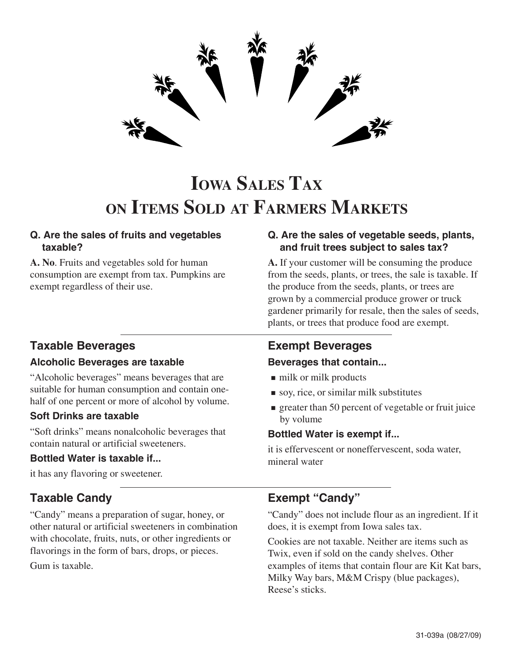

# **IOWA SALES TAX ON ITEMS SOLD AT FARMERS MARKETS**

#### **Q. Are the sales of fruits and vegetables taxable?**

**A. No**. Fruits and vegetables sold for human consumption are exempt from tax. Pumpkins are exempt regardless of their use.

# **Taxable Beverages**

#### **Alcoholic Beverages are taxable**

"Alcoholic beverages" means beverages that are suitable for human consumption and contain onehalf of one percent or more of alcohol by volume.

#### **Soft Drinks are taxable**

"Soft drinks" means nonalcoholic beverages that contain natural or artificial sweeteners.

#### **Bottled Water is taxable if...**

it has any flavoring or sweetener.

## **Taxable Candy**

"Candy" means a preparation of sugar, honey, or other natural or artificial sweeteners in combination with chocolate, fruits, nuts, or other ingredients or flavorings in the form of bars, drops, or pieces. Gum is taxable.

#### **Q. Are the sales of vegetable seeds, plants, and fruit trees subject to sales tax?**

**A.** If your customer will be consuming the produce from the seeds, plants, or trees, the sale is taxable. If the produce from the seeds, plants, or trees are grown by a commercial produce grower or truck gardener primarily for resale, then the sales of seeds, plants, or trees that produce food are exempt.

## **Exempt Beverages**

#### **Beverages that contain...**

- milk or milk products
- soy, rice, or similar milk substitutes
- **greater than 50 percent of vegetable or fruit juice** by volume

#### **Bottled Water is exempt if...**

it is effervescent or noneffervescent, soda water, mineral water

## **Exempt "Candy"**

"Candy" does not include flour as an ingredient. If it does, it is exempt from Iowa sales tax.

Cookies are not taxable. Neither are items such as Twix, even if sold on the candy shelves. Other examples of items that contain flour are Kit Kat bars, Milky Way bars, M&M Crispy (blue packages), Reese's sticks.